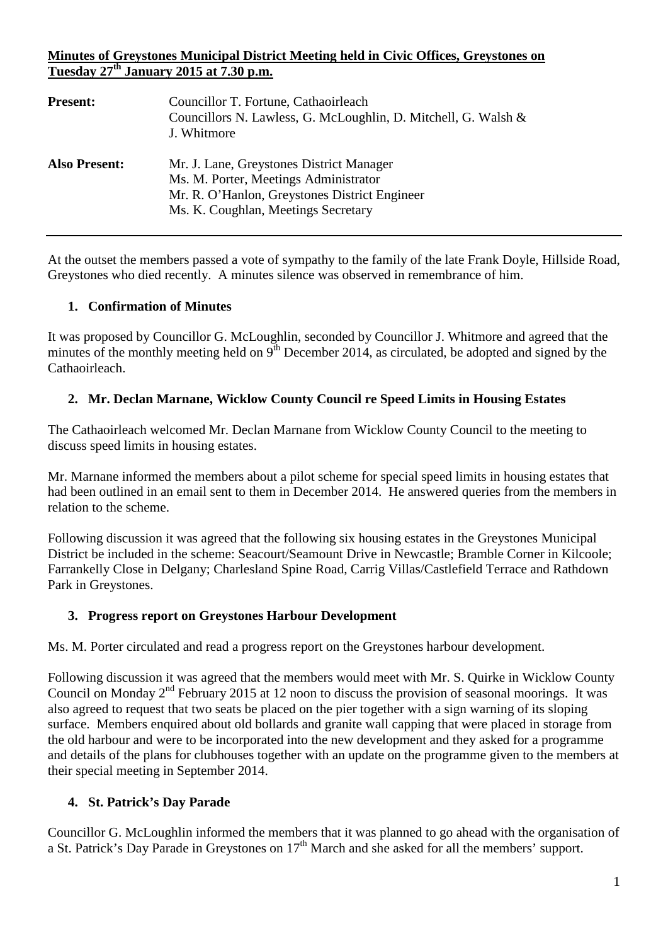### **Minutes of Greystones Municipal District Meeting held in Civic Offices, Greystones on Tuesday 27th January 2015 at 7.30 p.m.**

| <b>Present:</b>      | Councillor T. Fortune, Cathaoirleach<br>Councillors N. Lawless, G. McLoughlin, D. Mitchell, G. Walsh &<br>J. Whitmore                                                     |
|----------------------|---------------------------------------------------------------------------------------------------------------------------------------------------------------------------|
| <b>Also Present:</b> | Mr. J. Lane, Greystones District Manager<br>Ms. M. Porter, Meetings Administrator<br>Mr. R. O'Hanlon, Greystones District Engineer<br>Ms. K. Coughlan, Meetings Secretary |

At the outset the members passed a vote of sympathy to the family of the late Frank Doyle, Hillside Road, Greystones who died recently. A minutes silence was observed in remembrance of him.

## **1. Confirmation of Minutes**

It was proposed by Councillor G. McLoughlin, seconded by Councillor J. Whitmore and agreed that the minutes of the monthly meeting held on  $9<sup>th</sup>$  December 2014, as circulated, be adopted and signed by the Cathaoirleach.

## **2. Mr. Declan Marnane, Wicklow County Council re Speed Limits in Housing Estates**

The Cathaoirleach welcomed Mr. Declan Marnane from Wicklow County Council to the meeting to discuss speed limits in housing estates.

Mr. Marnane informed the members about a pilot scheme for special speed limits in housing estates that had been outlined in an email sent to them in December 2014. He answered queries from the members in relation to the scheme.

Following discussion it was agreed that the following six housing estates in the Greystones Municipal District be included in the scheme: Seacourt/Seamount Drive in Newcastle; Bramble Corner in Kilcoole; Farrankelly Close in Delgany; Charlesland Spine Road, Carrig Villas/Castlefield Terrace and Rathdown Park in Greystones.

#### **3. Progress report on Greystones Harbour Development**

Ms. M. Porter circulated and read a progress report on the Greystones harbour development.

Following discussion it was agreed that the members would meet with Mr. S. Quirke in Wicklow County Council on Monday 2nd February 2015 at 12 noon to discuss the provision of seasonal moorings. It was also agreed to request that two seats be placed on the pier together with a sign warning of its sloping surface. Members enquired about old bollards and granite wall capping that were placed in storage from the old harbour and were to be incorporated into the new development and they asked for a programme and details of the plans for clubhouses together with an update on the programme given to the members at their special meeting in September 2014.

## **4. St. Patrick's Day Parade**

Councillor G. McLoughlin informed the members that it was planned to go ahead with the organisation of a St. Patrick's Day Parade in Greystones on 17<sup>th</sup> March and she asked for all the members' support.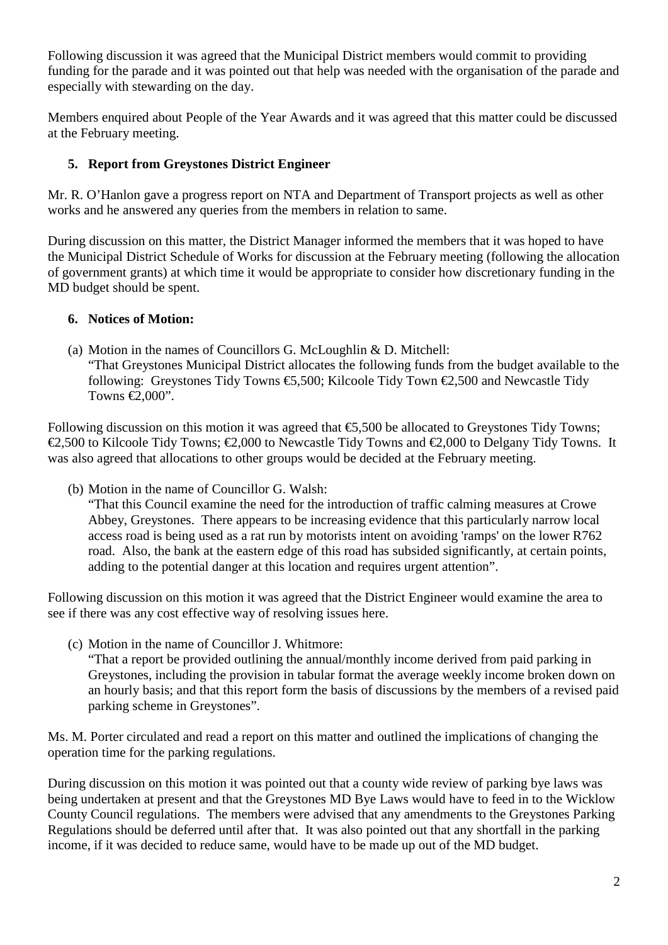Following discussion it was agreed that the Municipal District members would commit to providing funding for the parade and it was pointed out that help was needed with the organisation of the parade and especially with stewarding on the day.

Members enquired about People of the Year Awards and it was agreed that this matter could be discussed at the February meeting.

# **5. Report from Greystones District Engineer**

Mr. R. O'Hanlon gave a progress report on NTA and Department of Transport projects as well as other works and he answered any queries from the members in relation to same.

During discussion on this matter, the District Manager informed the members that it was hoped to have the Municipal District Schedule of Works for discussion at the February meeting (following the allocation of government grants) at which time it would be appropriate to consider how discretionary funding in the MD budget should be spent.

## **6. Notices of Motion:**

(a) Motion in the names of Councillors G. McLoughlin & D. Mitchell: "That Greystones Municipal District allocates the following funds from the budget available to the following: Greystones Tidy Towns  $\epsilon$ , 500; Kilcoole Tidy Town  $\epsilon$ , 500 and Newcastle Tidy Towns  $\in \infty.000$ ".

Following discussion on this motion it was agreed that  $\epsilon$ 5,500 be allocated to Greystones Tidy Towns; €2,500 to Kilcoole Tidy Towns; €2,000 to Newcastle Tidy Towns and €2,000 to Delgany Tidy Towns. It was also agreed that allocations to other groups would be decided at the February meeting.

(b) Motion in the name of Councillor G. Walsh:

"That this Council examine the need for the introduction of traffic calming measures at Crowe Abbey, Greystones. There appears to be increasing evidence that this particularly narrow local access road is being used as a rat run by motorists intent on avoiding 'ramps' on the lower R762 road. Also, the bank at the eastern edge of this road has subsided significantly, at certain points, adding to the potential danger at this location and requires urgent attention".

Following discussion on this motion it was agreed that the District Engineer would examine the area to see if there was any cost effective way of resolving issues here.

(c) Motion in the name of Councillor J. Whitmore:

"That a report be provided outlining the annual/monthly income derived from paid parking in Greystones, including the provision in tabular format the average weekly income broken down on an hourly basis; and that this report form the basis of discussions by the members of a revised paid parking scheme in Greystones".

Ms. M. Porter circulated and read a report on this matter and outlined the implications of changing the operation time for the parking regulations.

During discussion on this motion it was pointed out that a county wide review of parking bye laws was being undertaken at present and that the Greystones MD Bye Laws would have to feed in to the Wicklow County Council regulations. The members were advised that any amendments to the Greystones Parking Regulations should be deferred until after that. It was also pointed out that any shortfall in the parking income, if it was decided to reduce same, would have to be made up out of the MD budget.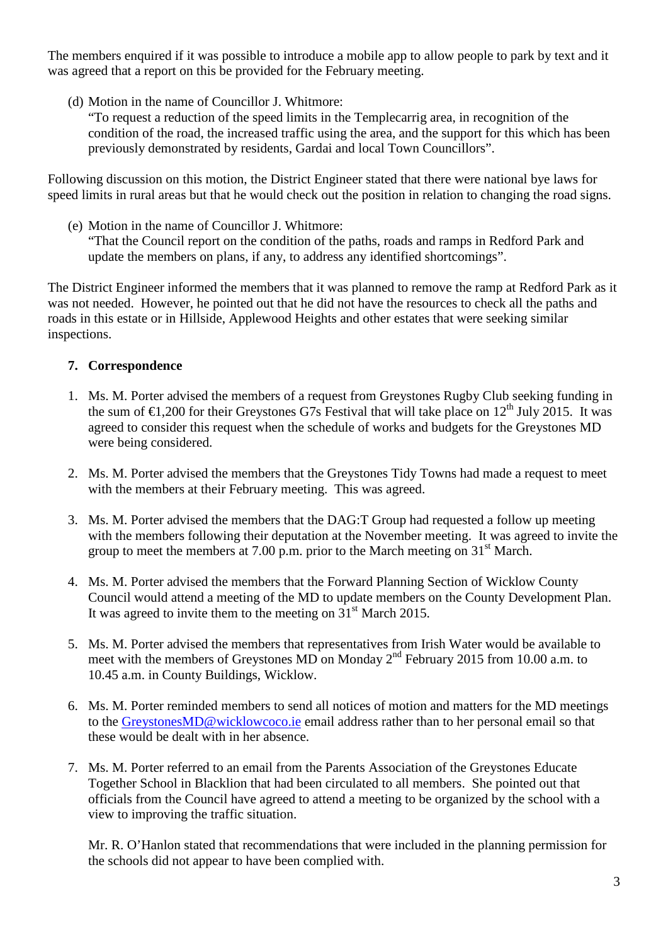The members enquired if it was possible to introduce a mobile app to allow people to park by text and it was agreed that a report on this be provided for the February meeting.

- (d) Motion in the name of Councillor J. Whitmore:
	- "To request a reduction of the speed limits in the Templecarrig area, in recognition of the condition of the road, the increased traffic using the area, and the support for this which has been previously demonstrated by residents, Gardai and local Town Councillors".

Following discussion on this motion, the District Engineer stated that there were national bye laws for speed limits in rural areas but that he would check out the position in relation to changing the road signs.

(e) Motion in the name of Councillor J. Whitmore: "That the Council report on the condition of the paths, roads and ramps in Redford Park and update the members on plans, if any, to address any identified shortcomings".

The District Engineer informed the members that it was planned to remove the ramp at Redford Park as it was not needed. However, he pointed out that he did not have the resources to check all the paths and roads in this estate or in Hillside, Applewood Heights and other estates that were seeking similar inspections.

## **7. Correspondence**

- 1. Ms. M. Porter advised the members of a request from Greystones Rugby Club seeking funding in the sum of  $\epsilon$ 1,200 for their Greystones G7s Festival that will take place on 12<sup>th</sup> July 2015. It was agreed to consider this request when the schedule of works and budgets for the Greystones MD were being considered.
- 2. Ms. M. Porter advised the members that the Greystones Tidy Towns had made a request to meet with the members at their February meeting. This was agreed.
- 3. Ms. M. Porter advised the members that the DAG:T Group had requested a follow up meeting with the members following their deputation at the November meeting. It was agreed to invite the group to meet the members at 7.00 p.m. prior to the March meeting on  $31<sup>st</sup>$  March.
- 4. Ms. M. Porter advised the members that the Forward Planning Section of Wicklow County Council would attend a meeting of the MD to update members on the County Development Plan. It was agreed to invite them to the meeting on  $31<sup>st</sup>$  March 2015.
- 5. Ms. M. Porter advised the members that representatives from Irish Water would be available to meet with the members of Greystones MD on Monday  $2<sup>nd</sup>$  February 2015 from 10.00 a.m. to 10.45 a.m. in County Buildings, Wicklow.
- 6. Ms. M. Porter reminded members to send all notices of motion and matters for the MD meetings to the [GreystonesMD@wicklowcoco.ie](mailto:GreystonesMD@wicklowcoco.ie) email address rather than to her personal email so that these would be dealt with in her absence.
- 7. Ms. M. Porter referred to an email from the Parents Association of the Greystones Educate Together School in Blacklion that had been circulated to all members. She pointed out that officials from the Council have agreed to attend a meeting to be organized by the school with a view to improving the traffic situation.

Mr. R. O'Hanlon stated that recommendations that were included in the planning permission for the schools did not appear to have been complied with.